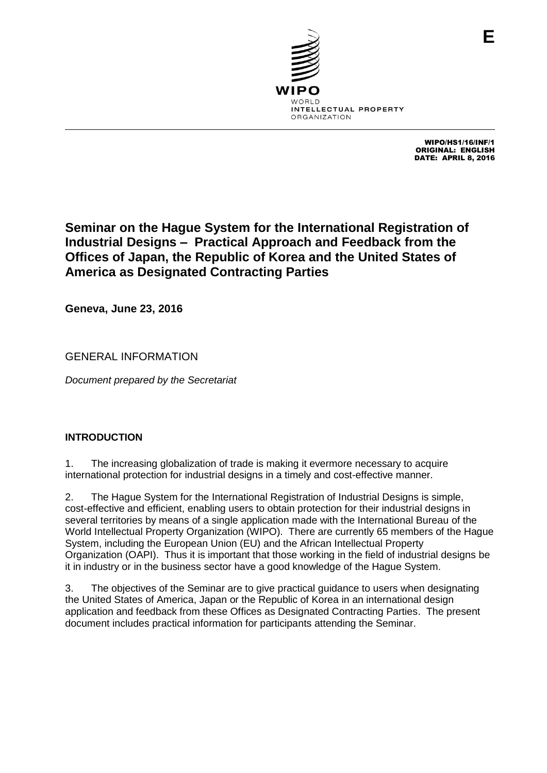

WIPO/HS1/16/INF/1 ORIGINAL: ENGLISH DATE: APRIL 8, 2016

# **Seminar on the Hague System for the International Registration of Industrial Designs – Practical Approach and Feedback from the Offices of Japan, the Republic of Korea and the United States of America as Designated Contracting Parties**

**Geneva, June 23, 2016**

GENERAL INFORMATION

*Document prepared by the Secretariat*

# **INTRODUCTION**

1. The increasing globalization of trade is making it evermore necessary to acquire international protection for industrial designs in a timely and cost-effective manner.

2. The Hague System for the International Registration of Industrial Designs is simple, cost-effective and efficient, enabling users to obtain protection for their industrial designs in several territories by means of a single application made with the International Bureau of the World Intellectual Property Organization (WIPO). There are currently 65 members of the Hague System, including the European Union (EU) and the African Intellectual Property Organization (OAPI). Thus it is important that those working in the field of industrial designs be it in industry or in the business sector have a good knowledge of the Hague System.

3. The objectives of the Seminar are to give practical guidance to users when designating the United States of America, Japan or the Republic of Korea in an international design application and feedback from these Offices as Designated Contracting Parties. The present document includes practical information for participants attending the Seminar.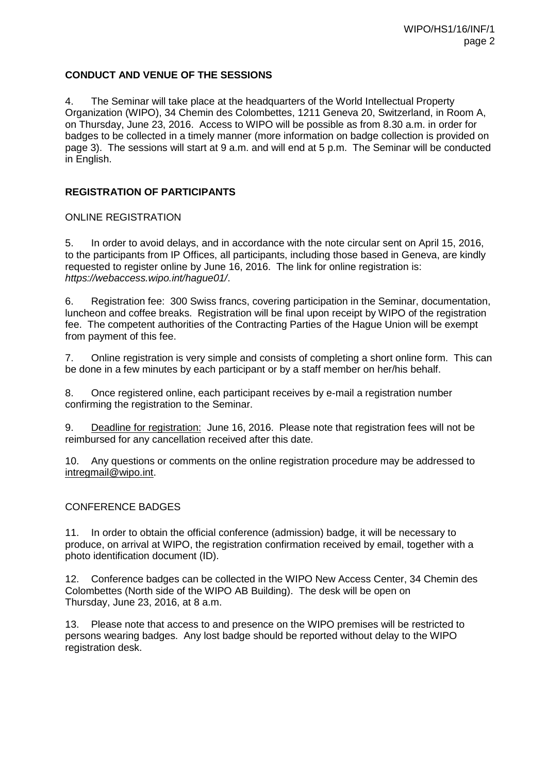# **CONDUCT AND VENUE OF THE SESSIONS**

4. The Seminar will take place at the headquarters of the World Intellectual Property Organization (WIPO), 34 Chemin des Colombettes, 1211 Geneva 20, Switzerland, in Room A, on Thursday, June 23, 2016. Access to WIPO will be possible as from 8.30 a.m. in order for badges to be collected in a timely manner (more information on badge collection is provided on page 3). The sessions will start at 9 a.m. and will end at 5 p.m. The Seminar will be conducted in English.

## **REGISTRATION OF PARTICIPANTS**

## ONLINE REGISTRATION

5. In order to avoid delays, and in accordance with the note circular sent on April 15, 2016, to the participants from IP Offices, all participants, including those based in Geneva, are kindly requested to register online by June 16, 2016. The link for online registration is: *<https://webaccess.wipo.int/hague01/>*.

6. Registration fee: 300 Swiss francs, covering participation in the Seminar, documentation, luncheon and coffee breaks. Registration will be final upon receipt by WIPO of the registration fee. The competent authorities of the Contracting Parties of the Hague Union will be exempt from payment of this fee.

7. Online registration is very simple and consists of completing a short online form. This can be done in a few minutes by each participant or by a staff member on her/his behalf.

8. Once registered online, each participant receives by e-mail a registration number confirming the registration to the Seminar.

9. Deadline for registration: June 16, 2016. Please note that registration fees will not be reimbursed for any cancellation received after this date.

10. Any questions or comments on the online registration procedure may be addressed to [intregmail@wipo.int.](mailto:intregmail@wipo.int)

## CONFERENCE BADGES

11. In order to obtain the official conference (admission) badge, it will be necessary to produce, on arrival at WIPO, the registration confirmation received by email, together with a photo identification document (ID).

12. Conference badges can be collected in the WIPO New Access Center, 34 Chemin des Colombettes (North side of the WIPO AB Building). The desk will be open on Thursday, June 23, 2016, at 8 a.m.

13. Please note that access to and presence on the WIPO premises will be restricted to persons wearing badges. Any lost badge should be reported without delay to the WIPO registration desk.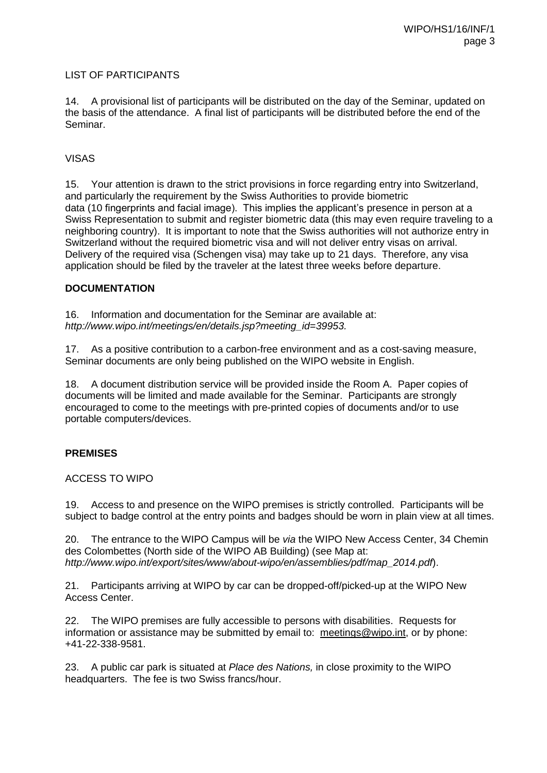# LIST OF PARTICIPANTS

14. A provisional list of participants will be distributed on the day of the Seminar, updated on the basis of the attendance. A final list of participants will be distributed before the end of the Seminar.

# VISAS

15. Your attention is drawn to the strict provisions in force regarding entry into Switzerland, and particularly the requirement by the Swiss Authorities to provide biometric data (10 fingerprints and facial image). This implies the applicant's presence in person at a Swiss Representation to submit and register biometric data (this may even require traveling to a neighboring country). It is important to note that the Swiss authorities will not authorize entry in Switzerland without the required biometric visa and will not deliver entry visas on arrival. Delivery of the required visa (Schengen visa) may take up to 21 days. Therefore, any visa application should be filed by the traveler at the latest three weeks before departure.

## **DOCUMENTATION**

16. Information and documentation for the Seminar are available at: *[http://www.wipo.int/meetings/en/details.jsp?meeting\\_id=39953.](http://www.wipo.int/meetings/en/details.jsp?meeting_id=XXXXX)*

17. As a positive contribution to a carbon-free environment and as a cost-saving measure, Seminar documents are only being published on the WIPO website in English.

18. A document distribution service will be provided inside the Room A. Paper copies of documents will be limited and made available for the Seminar. Participants are strongly encouraged to come to the meetings with pre-printed copies of documents and/or to use portable computers/devices.

## **PREMISES**

## ACCESS TO WIPO

19. Access to and presence on the WIPO premises is strictly controlled. Participants will be subject to badge control at the entry points and badges should be worn in plain view at all times.

20. The entrance to the WIPO Campus will be *via* the WIPO New Access Center, 34 Chemin des Colombettes (North side of the WIPO AB Building) (see Map at: *[http://www.wipo.int/export/sites/www/about-wipo/en/assemblies/pdf/map\\_2014.pdf](http://www.wipo.int/export/sites/www/about-wipo/en/assemblies/pdf/map_2014.pdf)*).

21. Participants arriving at WIPO by car can be dropped-off/picked-up at the WIPO New Access Center.

22. The WIPO premises are fully accessible to persons with disabilities. Requests for information or assistance may be submitted by email to: [meetings@wipo.int,](mailto:meetings@wipo.int) or by phone: +41-22-338-9581.

23. A public car park is situated at *Place des Nations,* in close proximity to the WIPO headquarters. The fee is two Swiss francs/hour.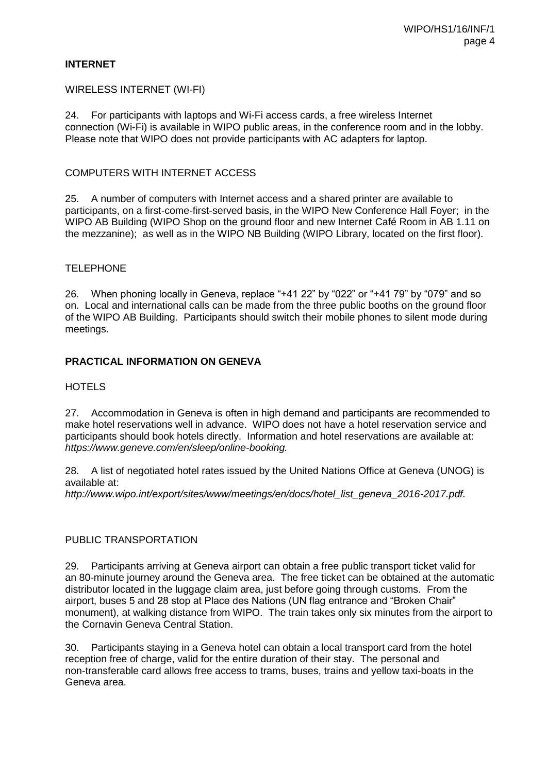## **INTERNET**

#### WIRELESS INTERNET (WI-FI)

24. For participants with laptops and Wi-Fi access cards, a free wireless Internet connection (Wi-Fi) is available in WIPO public areas, in the conference room and in the lobby. Please note that WIPO does not provide participants with AC adapters for laptop.

#### COMPUTERS WITH INTERNET ACCESS

25. A number of computers with Internet access and a shared printer are available to participants, on a first-come-first-served basis, in the WIPO New Conference Hall Foyer; in the WIPO AB Building (WIPO Shop on the ground floor and new Internet Café Room in AB 1.11 on the mezzanine); as well as in the WIPO NB Building (WIPO Library, located on the first floor).

#### **TELEPHONE**

26. When phoning locally in Geneva, replace "+41 22" by "022" or "+41 79" by "079" and so on. Local and international calls can be made from the three public booths on the ground floor of the WIPO AB Building. Participants should switch their mobile phones to silent mode during meetings.

## **PRACTICAL INFORMATION ON GENEVA**

#### **HOTELS**

27. Accommodation in Geneva is often in high demand and participants are recommended to make hotel reservations well in advance. WIPO does not have a hotel reservation service and participants should book hotels directly. Information and hotel reservations are available at: *[https://www.geneve.com/en/sleep/online-booking.](https://www.geneve.com/en/sleep/online-booking/)*

28. A list of negotiated hotel rates issued by the United Nations Office at Geneva (UNOG) is available at:

*http://www.wipo.int/export/sites/www/meetings/en/docs/hotel\_list\_geneva\_2016-2017.pdf.*

#### PUBLIC TRANSPORTATION

29. Participants arriving at Geneva airport can obtain a free public transport ticket valid for an 80-minute journey around the Geneva area. The free ticket can be obtained at the automatic distributor located in the luggage claim area, just before going through customs. From the airport, buses 5 and 28 stop at Place des Nations (UN flag entrance and "Broken Chair" monument), at walking distance from WIPO. The train takes only six minutes from the airport to the Cornavin Geneva Central Station.

30. Participants staying in a Geneva hotel can obtain a local transport card from the hotel reception free of charge, valid for the entire duration of their stay. The personal and non-transferable card allows free access to trams, buses, trains and yellow taxi-boats in the Geneva area.